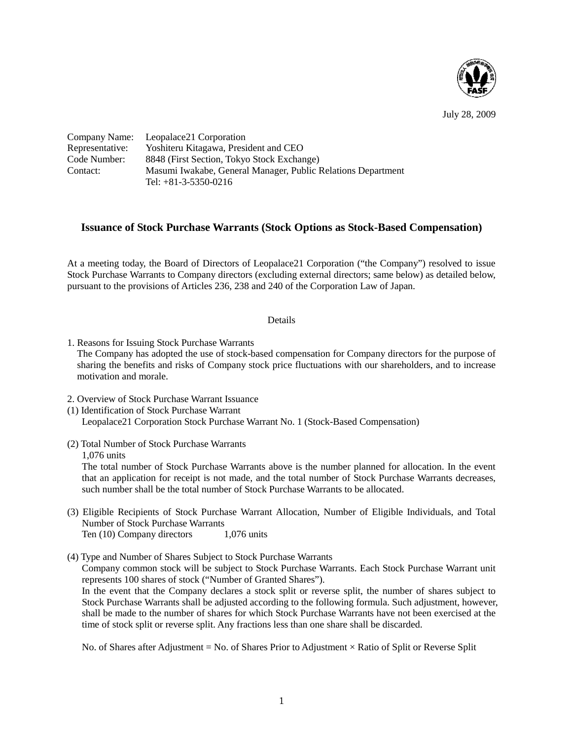

July 28, 2009

|                 | Company Name: Leopalace21 Corporation                        |
|-----------------|--------------------------------------------------------------|
| Representative: | Yoshiteru Kitagawa, President and CEO                        |
| Code Number: )  | 8848 (First Section, Tokyo Stock Exchange)                   |
| Contact:        | Masumi Iwakabe, General Manager, Public Relations Department |
|                 | Tel: $+81-3-5350-0216$                                       |

## **Issuance of Stock Purchase Warrants (Stock Options as Stock-Based Compensation)**

At a meeting today, the Board of Directors of Leopalace21 Corporation ("the Company") resolved to issue Stock Purchase Warrants to Company directors (excluding external directors; same below) as detailed below, pursuant to the provisions of Articles 236, 238 and 240 of the Corporation Law of Japan.

## Details

1. Reasons for Issuing Stock Purchase Warrants

The Company has adopted the use of stock-based compensation for Company directors for the purpose of sharing the benefits and risks of Company stock price fluctuations with our shareholders, and to increase motivation and morale.

- 2. Overview of Stock Purchase Warrant Issuance
- (1) Identification of Stock Purchase Warrant Leopalace21 Corporation Stock Purchase Warrant No. 1 (Stock-Based Compensation)
- (2) Total Number of Stock Purchase Warrants

1,076 units

The total number of Stock Purchase Warrants above is the number planned for allocation. In the event that an application for receipt is not made, and the total number of Stock Purchase Warrants decreases, such number shall be the total number of Stock Purchase Warrants to be allocated.

- (3) Eligible Recipients of Stock Purchase Warrant Allocation, Number of Eligible Individuals, and Total Number of Stock Purchase Warrants Ten (10) Company directors 1,076 units
- (4) Type and Number of Shares Subject to Stock Purchase Warrants

Company common stock will be subject to Stock Purchase Warrants. Each Stock Purchase Warrant unit represents 100 shares of stock ("Number of Granted Shares").

In the event that the Company declares a stock split or reverse split, the number of shares subject to Stock Purchase Warrants shall be adjusted according to the following formula. Such adjustment, however, shall be made to the number of shares for which Stock Purchase Warrants have not been exercised at the time of stock split or reverse split. Any fractions less than one share shall be discarded.

No. of Shares after Adjustment = No. of Shares Prior to Adjustment  $\times$  Ratio of Split or Reverse Split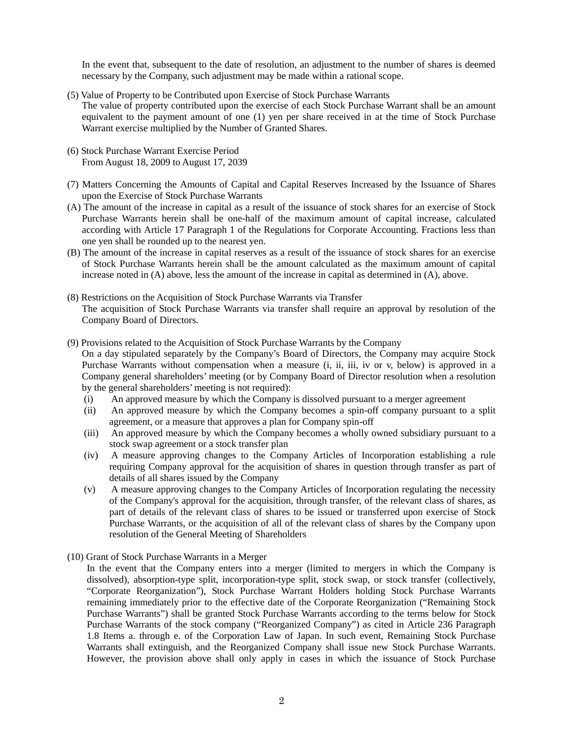In the event that, subsequent to the date of resolution, an adjustment to the number of shares is deemed necessary by the Company, such adjustment may be made within a rational scope.

(5) Value of Property to be Contributed upon Exercise of Stock Purchase Warrants

The value of property contributed upon the exercise of each Stock Purchase Warrant shall be an amount equivalent to the payment amount of one (1) yen per share received in at the time of Stock Purchase Warrant exercise multiplied by the Number of Granted Shares.

- (6) Stock Purchase Warrant Exercise Period From August 18, 2009 to August 17, 2039
- (7) Matters Concerning the Amounts of Capital and Capital Reserves Increased by the Issuance of Shares upon the Exercise of Stock Purchase Warrants
- (A) The amount of the increase in capital as a result of the issuance of stock shares for an exercise of Stock Purchase Warrants herein shall be one-half of the maximum amount of capital increase, calculated according with Article 17 Paragraph 1 of the Regulations for Corporate Accounting. Fractions less than one yen shall be rounded up to the nearest yen.
- (B) The amount of the increase in capital reserves as a result of the issuance of stock shares for an exercise of Stock Purchase Warrants herein shall be the amount calculated as the maximum amount of capital increase noted in (A) above, less the amount of the increase in capital as determined in (A), above.
- (8) Restrictions on the Acquisition of Stock Purchase Warrants via Transfer The acquisition of Stock Purchase Warrants via transfer shall require an approval by resolution of the Company Board of Directors.
- (9) Provisions related to the Acquisition of Stock Purchase Warrants by the Company On a day stipulated separately by the Company's Board of Directors, the Company may acquire Stock Purchase Warrants without compensation when a measure (i, ii, iii, iv or v, below) is approved in a Company general shareholders' meeting (or by Company Board of Director resolution when a resolution by the general shareholders' meeting is not required):
	- (i) An approved measure by which the Company is dissolved pursuant to a merger agreement
	- (ii) An approved measure by which the Company becomes a spin-off company pursuant to a split agreement, or a measure that approves a plan for Company spin-off
	- (iii) An approved measure by which the Company becomes a wholly owned subsidiary pursuant to a stock swap agreement or a stock transfer plan
	- (iv) A measure approving changes to the Company Articles of Incorporation establishing a rule requiring Company approval for the acquisition of shares in question through transfer as part of details of all shares issued by the Company
	- (v) A measure approving changes to the Company Articles of Incorporation regulating the necessity of the Company's approval for the acquisition, through transfer, of the relevant class of shares, as part of details of the relevant class of shares to be issued or transferred upon exercise of Stock Purchase Warrants, or the acquisition of all of the relevant class of shares by the Company upon resolution of the General Meeting of Shareholders
- (10) Grant of Stock Purchase Warrants in a Merger

In the event that the Company enters into a merger (limited to mergers in which the Company is dissolved), absorption-type split, incorporation-type split, stock swap, or stock transfer (collectively, "Corporate Reorganization"), Stock Purchase Warrant Holders holding Stock Purchase Warrants remaining immediately prior to the effective date of the Corporate Reorganization ("Remaining Stock Purchase Warrants") shall be granted Stock Purchase Warrants according to the terms below for Stock Purchase Warrants of the stock company ("Reorganized Company") as cited in Article 236 Paragraph 1.8 Items a. through e. of the Corporation Law of Japan. In such event, Remaining Stock Purchase Warrants shall extinguish, and the Reorganized Company shall issue new Stock Purchase Warrants. However, the provision above shall only apply in cases in which the issuance of Stock Purchase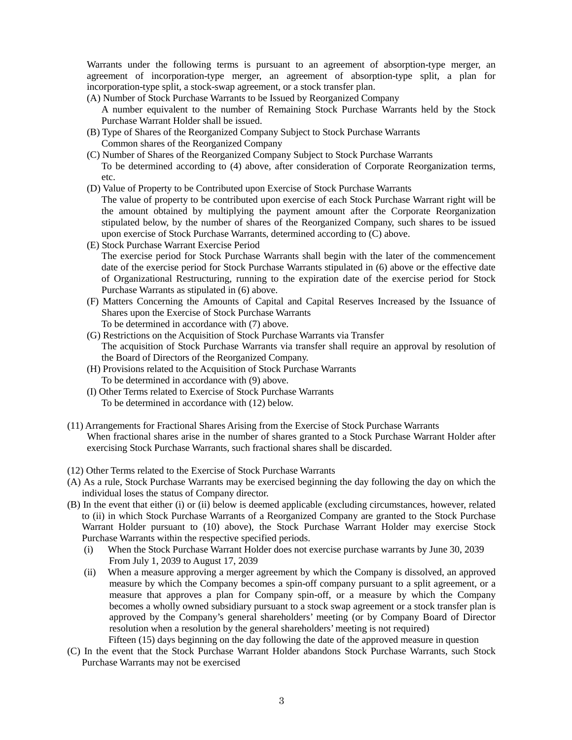Warrants under the following terms is pursuant to an agreement of absorption-type merger, an agreement of incorporation-type merger, an agreement of absorption-type split, a plan for incorporation-type split, a stock-swap agreement, or a stock transfer plan.

(A) Number of Stock Purchase Warrants to be Issued by Reorganized Company

A number equivalent to the number of Remaining Stock Purchase Warrants held by the Stock Purchase Warrant Holder shall be issued.

- (B) Type of Shares of the Reorganized Company Subject to Stock Purchase Warrants Common shares of the Reorganized Company
- (C) Number of Shares of the Reorganized Company Subject to Stock Purchase Warrants To be determined according to (4) above, after consideration of Corporate Reorganization terms, etc.
- (D) Value of Property to be Contributed upon Exercise of Stock Purchase Warrants The value of property to be contributed upon exercise of each Stock Purchase Warrant right will be the amount obtained by multiplying the payment amount after the Corporate Reorganization stipulated below, by the number of shares of the Reorganized Company, such shares to be issued upon exercise of Stock Purchase Warrants, determined according to (C) above.
- (E) Stock Purchase Warrant Exercise Period The exercise period for Stock Purchase Warrants shall begin with the later of the commencement date of the exercise period for Stock Purchase Warrants stipulated in (6) above or the effective date of Organizational Restructuring, running to the expiration date of the exercise period for Stock Purchase Warrants as stipulated in (6) above.
- (F) Matters Concerning the Amounts of Capital and Capital Reserves Increased by the Issuance of Shares upon the Exercise of Stock Purchase Warrants To be determined in accordance with (7) above.
- (G) Restrictions on the Acquisition of Stock Purchase Warrants via Transfer The acquisition of Stock Purchase Warrants via transfer shall require an approval by resolution of the Board of Directors of the Reorganized Company.
- (H) Provisions related to the Acquisition of Stock Purchase Warrants To be determined in accordance with (9) above.
- (I) Other Terms related to Exercise of Stock Purchase Warrants To be determined in accordance with (12) below.
- (11) Arrangements for Fractional Shares Arising from the Exercise of Stock Purchase Warrants When fractional shares arise in the number of shares granted to a Stock Purchase Warrant Holder after exercising Stock Purchase Warrants, such fractional shares shall be discarded.
- (12) Other Terms related to the Exercise of Stock Purchase Warrants
- (A) As a rule, Stock Purchase Warrants may be exercised beginning the day following the day on which the individual loses the status of Company director.
- (B) In the event that either (i) or (ii) below is deemed applicable (excluding circumstances, however, related to (ii) in which Stock Purchase Warrants of a Reorganized Company are granted to the Stock Purchase Warrant Holder pursuant to (10) above), the Stock Purchase Warrant Holder may exercise Stock Purchase Warrants within the respective specified periods.
	- (i) When the Stock Purchase Warrant Holder does not exercise purchase warrants by June 30, 2039 From July 1, 2039 to August 17, 2039
	- (ii) When a measure approving a merger agreement by which the Company is dissolved, an approved measure by which the Company becomes a spin-off company pursuant to a split agreement, or a measure that approves a plan for Company spin-off, or a measure by which the Company becomes a wholly owned subsidiary pursuant to a stock swap agreement or a stock transfer plan is approved by the Company's general shareholders' meeting (or by Company Board of Director resolution when a resolution by the general shareholders' meeting is not required) Fifteen (15) days beginning on the day following the date of the approved measure in question
- (C) In the event that the Stock Purchase Warrant Holder abandons Stock Purchase Warrants, such Stock Purchase Warrants may not be exercised